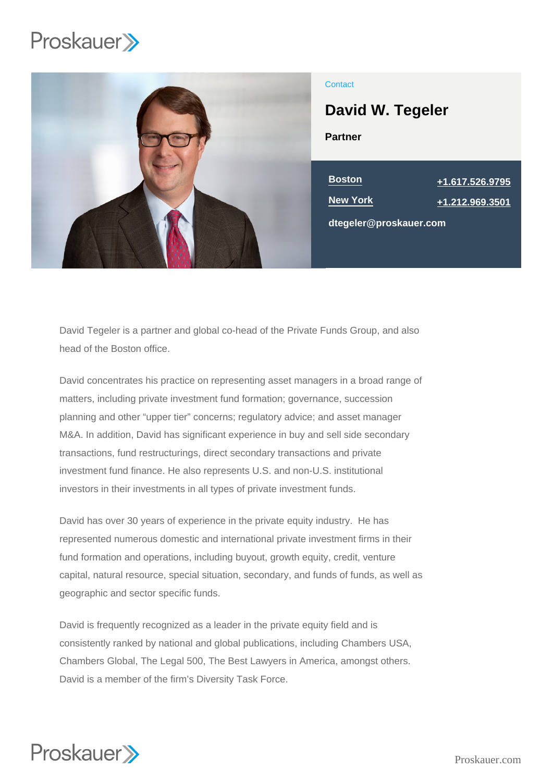

# **Contact**

Partner David W. Tegeler

New York [+1.212.969.3501](tel:+1.212.969.3501)

Boston [+1.617.526.9795](tel:+1.617.526.9795)

dtegeler@proskauer.com

David Tegeler is a partner and global co-head of the Private Funds Group, and also head of the Boston office.

David concentrates his practice on representing asset managers in a broad range of matters, including private investment fund formation; governance, succession planning and other "upper tier" concerns; regulatory advice; and asset manager M&A. In addition, David has significant experience in buy and sell side secondary transactions, fund restructurings, direct secondary transactions and private investment fund finance. He also represents U.S. and non-U.S. institutional investors in their investments in all types of private investment funds.

David has over 30 years of experience in the private equity industry. He has represented numerous domestic and international private investment firms in their fund formation and operations, including buyout, growth equity, credit, venture capital, natural resource, special situation, secondary, and funds of funds, as well as geographic and sector specific funds.

David is frequently recognized as a leader in the private equity field and is consistently ranked by national and global publications, including Chambers USA, Chambers Global, The Legal 500, The Best Lawyers in America, amongst others. David is a member of the firm's Diversity Task Force.

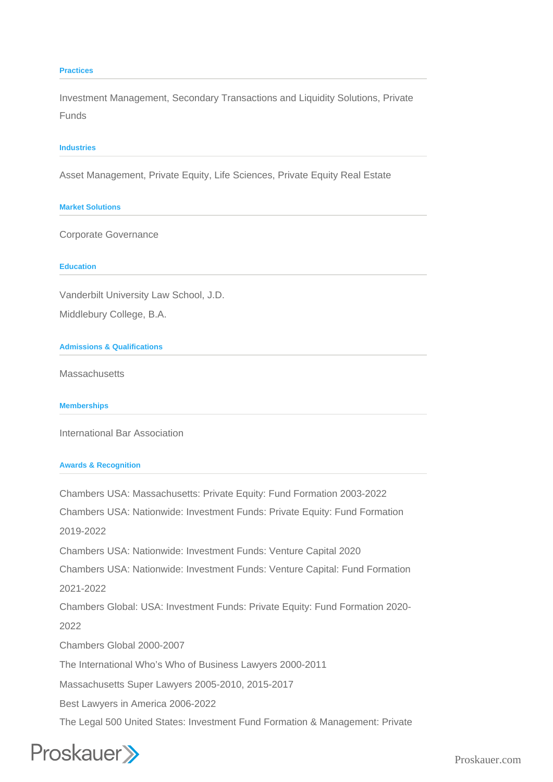### **Practices**

Investment Management, Secondary Transactions and Liquidity Solutions, Private Funds

### **Industries**

Asset Management, Private Equity, Life Sciences, Private Equity Real Estate

## **Market Solutions**

Corporate Governance

### **Education**

Vanderbilt University Law School, J.D.

Middlebury College, B.A.

## **Admissions & Qualifications**

**Massachusetts** 

**Memberships**

International Bar Association

## **Awards & Recognition**

Chambers USA: Massachusetts: Private Equity: Fund Formation 2003-2022 Chambers USA: Nationwide: Investment Funds: Private Equity: Fund Formation 2019-2022 Chambers USA: Nationwide: Investment Funds: Venture Capital 2020 Chambers USA: Nationwide: Investment Funds: Venture Capital: Fund Formation 2021-2022 Chambers Global: USA: Investment Funds: Private Equity: Fund Formation 2020- 2022 Chambers Global 2000-2007 The International Who's Who of Business Lawyers 2000-2011 Massachusetts Super Lawyers 2005-2010, 2015-2017 Best Lawyers in America 2006-2022 The Legal 500 United States: Investment Fund Formation & Management: Private